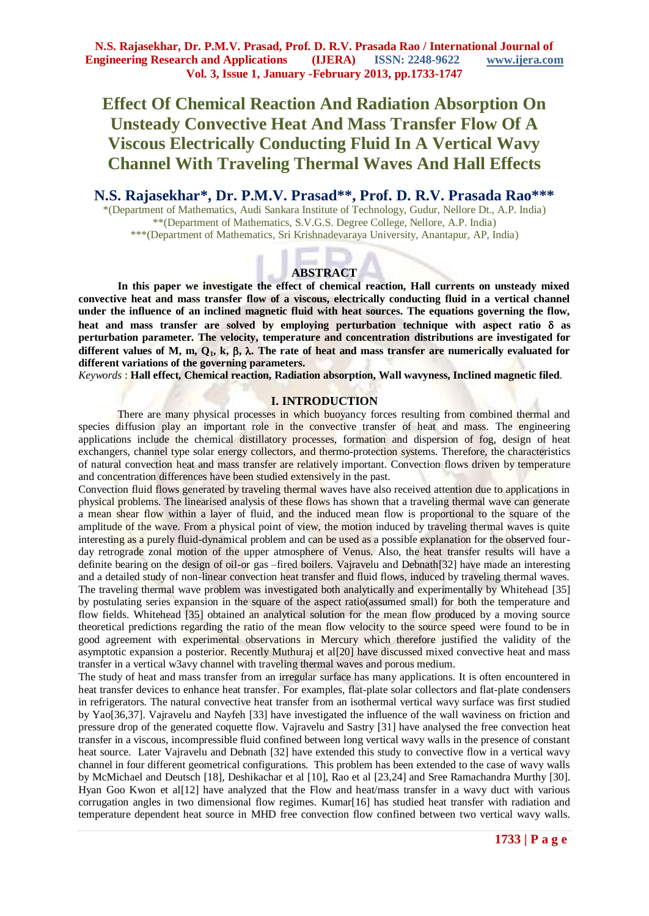# **Effect Of Chemical Reaction And Radiation Absorption On Unsteady Convective Heat And Mass Transfer Flow Of A Viscous Electrically Conducting Fluid In A Vertical Wavy Channel With Traveling Thermal Waves And Hall Effects**

**N.S. Rajasekhar\*, Dr. P.M.V. Prasad\*\*, Prof. D. R.V. Prasada Rao\*\*\*** \*(Department of Mathematics, Audi Sankara Institute of Technology, Gudur, Nellore Dt., A.P. India) \*\*(Department of Mathematics, S.V.G.S. Degree College, Nellore, A.P. India) \*\*\*(Department of Mathematics, Sri Krishnadevaraya University, Anantapur, AP, India)

# **ABSTRACT**

**In this paper we investigate the effect of chemical reaction, Hall currents on unsteady mixed convective heat and mass transfer flow of a viscous, electrically conducting fluid in a vertical channel under the influence of an inclined magnetic fluid with heat sources. The equations governing the flow,**  heat and mass transfer are solved by employing perturbation technique with aspect ratio  $\delta$  as **perturbation parameter. The velocity, temperature and concentration distributions are investigated for**  different values of M, m,  $Q_1$ , k,  $\beta$ ,  $\lambda$ . The rate of heat and mass transfer are numerically evaluated for **different variations of the governing parameters.**

*Keywords* : **Hall effect, Chemical reaction, Radiation absorption, Wall wavyness, Inclined magnetic filed**.

#### **I. INTRODUCTION**

There are many physical processes in which buoyancy forces resulting from combined thermal and species diffusion play an important role in the convective transfer of heat and mass. The engineering applications include the chemical distillatory processes, formation and dispersion of fog, design of heat exchangers, channel type solar energy collectors, and thermo-protection systems. Therefore, the characteristics of natural convection heat and mass transfer are relatively important. Convection flows driven by temperature and concentration differences have been studied extensively in the past.

Convection fluid flows generated by traveling thermal waves have also received attention due to applications in physical problems. The linearised analysis of these flows has shown that a traveling thermal wave can generate a mean shear flow within a layer of fluid, and the induced mean flow is proportional to the square of the amplitude of the wave. From a physical point of view, the motion induced by traveling thermal waves is quite interesting as a purely fluid-dynamical problem and can be used as a possible explanation for the observed fourday retrograde zonal motion of the upper atmosphere of Venus. Also, the heat transfer results will have a definite bearing on the design of oil-or gas –fired boilers. Vajravelu and Debnath[32] have made an interesting and a detailed study of non-linear convection heat transfer and fluid flows, induced by traveling thermal waves. The traveling thermal wave problem was investigated both analytically and experimentally by Whitehead [35] by postulating series expansion in the square of the aspect ratio(assumed small) for both the temperature and flow fields. Whitehead [35] obtained an analytical solution for the mean flow produced by a moving source theoretical predictions regarding the ratio of the mean flow velocity to the source speed were found to be in good agreement with experimental observations in Mercury which therefore justified the validity of the asymptotic expansion a posterior. Recently Muthuraj et al[20] have discussed mixed convective heat and mass transfer in a vertical w3avy channel with traveling thermal waves and porous medium.

The study of heat and mass transfer from an irregular surface has many applications. It is often encountered in heat transfer devices to enhance heat transfer. For examples, flat-plate solar collectors and flat-plate condensers in refrigerators. The natural convective heat transfer from an isothermal vertical wavy surface was first studied by Yao[36,37]. Vajravelu and Nayfeh [33] have investigated the influence of the wall waviness on friction and pressure drop of the generated coquette flow. Vajravelu and Sastry [31] have analysed the free convection heat transfer in a viscous, incompressible fluid confined between long vertical wavy walls in the presence of constant heat source. Later Vajravelu and Debnath [32] have extended this study to convective flow in a vertical wavy channel in four different geometrical configurations. This problem has been extended to the case of wavy walls by McMichael and Deutsch [18], Deshikachar et al [10], Rao et al [23,24] and Sree Ramachandra Murthy [30]. Hyan Goo Kwon et al[12] have analyzed that the Flow and heat/mass transfer in a wavy duct with various corrugation angles in two dimensional flow regimes. Kumar[16] has studied heat transfer with radiation and temperature dependent heat source in MHD free convection flow confined between two vertical wavy walls.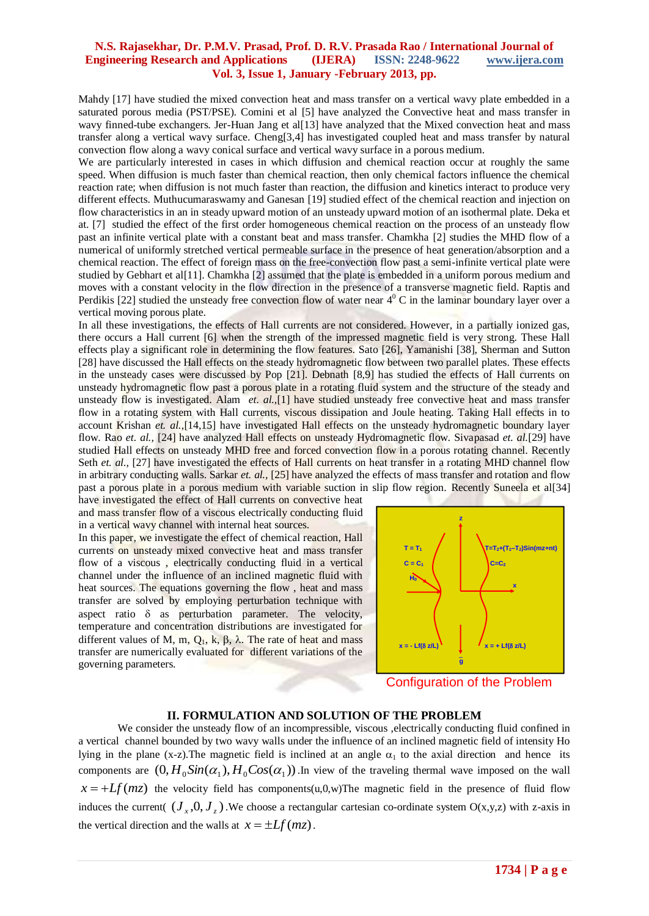Mahdy [17] have studied the mixed convection heat and mass transfer on a vertical wavy plate embedded in a saturated porous media (PST/PSE). Comini et al [5] have analyzed the Convective heat and mass transfer in wavy finned-tube exchangers. Jer-Huan Jang et al[13] have analyzed that the Mixed convection heat and mass transfer along a vertical wavy surface. Cheng[3,4] has investigated coupled heat and mass transfer by natural convection flow along a wavy conical surface and vertical wavy surface in a porous medium.

We are particularly interested in cases in which diffusion and chemical reaction occur at roughly the same speed. When diffusion is much faster than chemical reaction, then only chemical factors influence the chemical reaction rate; when diffusion is not much faster than reaction, the diffusion and kinetics interact to produce very different effects. Muthucumaraswamy and Ganesan [19] studied effect of the chemical reaction and injection on flow characteristics in an in steady upward motion of an unsteady upward motion of an isothermal plate. Deka et at. [7] studied the effect of the first order homogeneous chemical reaction on the process of an unsteady flow past an infinite vertical plate with a constant beat and mass transfer. Chamkha [2] studies the MHD flow of a numerical of uniformly stretched vertical permeable surface in the presence of heat generation/absorption and a chemical reaction. The effect of foreign mass on the free-convection flow past a semi-infinite vertical plate were studied by Gebhart et al[11]. Chamkha [2] assumed that the plate is embedded in a uniform porous medium and moves with a constant velocity in the flow direction in the presence of a transverse magnetic field. Raptis and Perdikis [22] studied the unsteady free convection flow of water near  $4^{\circ}$  C in the laminar boundary layer over a vertical moving porous plate.

In all these investigations, the effects of Hall currents are not considered. However, in a partially ionized gas, there occurs a Hall current [6] when the strength of the impressed magnetic field is very strong. These Hall effects play a significant role in determining the flow features. Sato [26], Yamanishi [38], Sherman and Sutton [28] have discussed the Hall effects on the steady hydromagnetic flow between two parallel plates. These effects in the unsteady cases were discussed by Pop [21]. Debnath [8,9] has studied the effects of Hall currents on unsteady hydromagnetic flow past a porous plate in a rotating fluid system and the structure of the steady and unsteady flow is investigated. Alam *et. al.,*[1] have studied unsteady free convective heat and mass transfer flow in a rotating system with Hall currents, viscous dissipation and Joule heating. Taking Hall effects in to account Krishan *et. al.,*[14,15] have investigated Hall effects on the unsteady hydromagnetic boundary layer flow. Rao *et. al.,* [24] have analyzed Hall effects on unsteady Hydromagnetic flow. Sivapasad *et. al.*[29] have studied Hall effects on unsteady MHD free and forced convection flow in a porous rotating channel. Recently Seth *et. al.*, [27] have investigated the effects of Hall currents on heat transfer in a rotating MHD channel flow in arbitrary conducting walls. Sarkar *et. al.*, [25] have analyzed the effects of mass transfer and rotation and flow past a porous plate in a porous medium with variable suction in slip flow region. Recently Suneela et al[34]

have investigated the effect of Hall currents on convective heat and mass transfer flow of a viscous electrically conducting fluid in a vertical wavy channel with internal heat sources.

In this paper, we investigate the effect of chemical reaction, Hall currents on unsteady mixed convective heat and mass transfer flow of a viscous , electrically conducting fluid in a vertical channel under the influence of an inclined magnetic fluid with heat sources. The equations governing the flow , heat and mass transfer are solved by employing perturbation technique with aspect ratio  $\delta$  as perturbation parameter. The velocity, temperature and concentration distributions are investigated for different values of M, m,  $Q_1$ , k,  $\beta$ ,  $\lambda$ . The rate of heat and mass transfer are numerically evaluated for different variations of the governing parameters.



Configuration of the Problem

#### **II. FORMULATION AND SOLUTION OF THE PROBLEM**

We consider the unsteady flow of an incompressible, viscous ,electrically conducting fluid confined in a vertical channel bounded by two wavy walls under the influence of an inclined magnetic field of intensity Ho lying in the plane (x-z). The magnetic field is inclined at an angle  $\alpha_1$  to the axial direction and hence its components are  $(0, H_0 Sin(\alpha_1), H_0 Cos(\alpha_1))$ . In view of the traveling thermal wave imposed on the wall  $x = +Lf(mz)$  the velocity field has components(u,0,w)The magnetic field in the presence of fluid flow induces the current(  $(J_x, 0, J_z)$ . We choose a rectangular cartesian co-ordinate system O(x,y,z) with z-axis in the vertical direction and the walls at  $x = \pm Lf(mz)$ .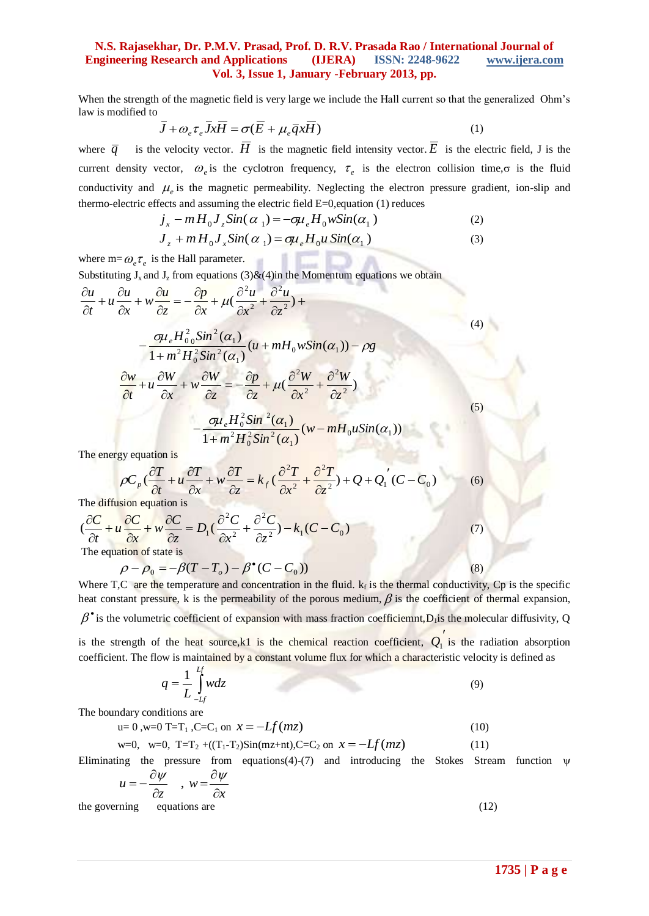When the strength of the magnetic field is very large we include the Hall current so that the generalized Ohm's law is modified to

$$
\overline{J} + \omega_e \tau_e \overline{J} x \overline{H} = \sigma(\overline{E} + \mu_e \overline{q} x \overline{H})
$$
\n(1)

where  $\overline{q}$ is the velocity vector.  $H$  is the magnetic field intensity vector.  $E$  is the electric field, J is the current density vector,  $\omega_e$  is the cyclotron frequency,  $\tau_e$  is the electron collision time,  $\sigma$  is the fluid conductivity and  $\mu_e$  is the magnetic permeability. Neglecting the electron pressure gradient, ion-slip and thermo-electric effects and assuming the electric field E=0,equation (1) reduces

$$
j_x - m H_0 J_z \sin(\alpha_1) = -\sigma \mu_e H_0 w \sin(\alpha_1)
$$
 (2)

$$
J_z + m H_0 J_x \sin(\alpha_1) = \sigma \mu_e H_0 u \sin(\alpha_1)
$$
 (3)

where  $m = \omega_e \tau_e$  is the Hall parameter.

Substituting  $J_x$  and  $J_z$  from equations (3)&(4)in the Momentum equations we obtain

$$
\frac{\partial u}{\partial t} + u \frac{\partial u}{\partial x} + w \frac{\partial u}{\partial z} = -\frac{\partial p}{\partial x} + \mu \left( \frac{\partial^2 u}{\partial x^2} + \frac{\partial^2 u}{\partial z^2} \right) +
$$
\n
$$
- \frac{\partial u_e H_{0.0}^2 \sin^2(\alpha_1)}{1 + m^2 H_0^2 \sin^2(\alpha_1)} (u + m H_0 w \sin(\alpha_1)) - \rho g
$$
\n
$$
\frac{\partial w}{\partial t} + u \frac{\partial W}{\partial x} + w \frac{\partial W}{\partial z} = -\frac{\partial p}{\partial z} + \mu \left( \frac{\partial^2 W}{\partial x^2} + \frac{\partial^2 W}{\partial z^2} \right)
$$
\n
$$
- \frac{\partial u_e H_0^2 \sin^2(\alpha_1)}{1 + m^2 H_0^2 \sin^2(\alpha_1)} (w - m H_0 u \sin(\alpha_1))
$$
\nThe energy equation is

The energy equation is

$$
\rho C_p \left( \frac{\partial T}{\partial t} + u \frac{\partial T}{\partial x} + w \frac{\partial T}{\partial z} \right) = k_f \left( \frac{\partial^2 T}{\partial x^2} + \frac{\partial^2 T}{\partial z^2} \right) + Q + Q_1 \left( C - C_0 \right) \tag{6}
$$

The diffusion equation is

$$
(\frac{\partial C}{\partial t} + u \frac{\partial C}{\partial x} + w \frac{\partial C}{\partial z} = D_1(\frac{\partial^2 C}{\partial x^2} + \frac{\partial^2 C}{\partial z^2}) - k_1(C - C_0)
$$
  
The equation of state is  

$$
\rho - \rho_0 = -\beta(T - T_o) - \beta^{\bullet}(C - C_0)
$$
(8)

Where T,C are the temperature and concentration in the fluid.  $k_f$  is the thermal conductivity, Cp is the specific heat constant pressure, k is the permeability of the porous medium,  $\beta$  is the coefficient of thermal expansion,  $\beta^*$  is the volumetric coefficient of expansion with mass fraction coefficiemnt,D<sub>1</sub> is the molecular diffusivity, Q is the strength of the heat source,k1 is the chemical reaction coefficient,  $Q_1$  is the radiation absorption

coefficient. The flow is maintained by a constant volume flux for which a characteristic velocity is defined as

$$
q = \frac{1}{L} \int_{-Lf}^{Lf} w dz
$$
 (9)

The boundary conditions are

$$
u=0, w=0 T=T_1, C=C_1 \text{ on } x=-Lf(mz)
$$
\n(10)

$$
w=0, w=0, T=T_2+((T_1-T_2)Sin(mx+nt),C=C_2 \text{ on } x=-Lf(mx) \tag{11}
$$

Eliminating the pressure from equations(4)-(7) and introducing the Stokes Stream function  $\psi$  $\partial \psi$   $\partial \psi$  $\partial w$ 

$$
u = -\frac{\partial \varphi}{\partial z} \quad , \ w = \frac{\partial \varphi}{\partial x}
$$

the governing equations are (12)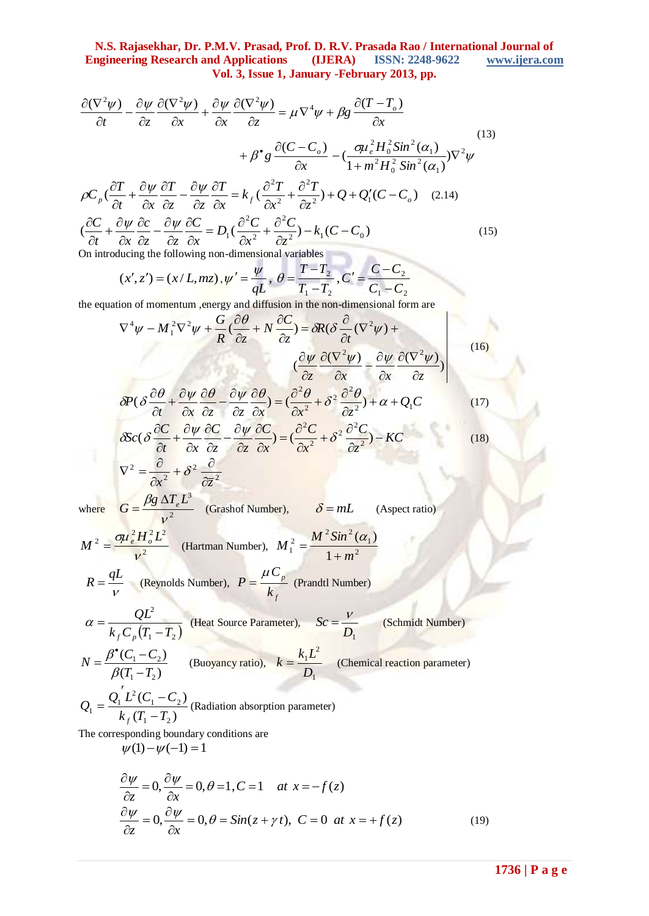$$
\frac{\partial(\nabla^2 \psi)}{\partial t} - \frac{\partial \psi}{\partial z} \frac{\partial(\nabla^2 \psi)}{\partial x} + \frac{\partial \psi}{\partial x} \frac{\partial(\nabla^2 \psi)}{\partial z} = \mu \nabla^4 \psi + \beta g \frac{\partial (T - T_o)}{\partial x}
$$
\n
$$
+ \beta^* g \frac{\partial (C - C_o)}{\partial x} - \left(\frac{\sigma \mu_e^2 H_0^2 Sin^2(\alpha_1)}{1 + m^2 H_0^2 Sin^2(\alpha_1)}\right) \nabla^2 \psi
$$
\n
$$
\rho C_p \left(\frac{\partial T}{\partial t} + \frac{\partial \psi}{\partial x} \frac{\partial T}{\partial z} - \frac{\partial \psi}{\partial z} \frac{\partial T}{\partial x} = k_f \left(\frac{\partial^2 T}{\partial x^2} + \frac{\partial^2 T}{\partial z^2}\right) + Q + Q'_1 (C - C_o) \quad (2.14)
$$
\n
$$
\left(\frac{\partial C}{\partial t} + \frac{\partial \psi}{\partial x} \frac{\partial c}{\partial z} - \frac{\partial \psi}{\partial z} \frac{\partial C}{\partial x} = D_1 \left(\frac{\partial^2 C}{\partial x^2} + \frac{\partial^2 C}{\partial z^2}\right) - k_1 (C - C_0) \quad (15)
$$
\nOn introducing the following non-dimensional variables

On introducing the following non-dimensional variables

$$
(x', z') = (x/L, mz), \psi' = \frac{\psi}{qL}, \theta = \frac{T - T_2}{T_1 - T_2}, C' = \frac{C - C_2}{C_1 - C_2}
$$

the equation of momentum ,energy and diffusion in the non-dimensional form are

$$
\nabla^4 \psi - M_1^2 \nabla^2 \psi + \frac{G}{R} \left( \frac{\partial \theta}{\partial z} + N \frac{\partial C}{\partial z} \right) = \delta R \left( \delta \frac{\partial}{\partial t} (\nabla^2 \psi) + \frac{\partial \psi}{\partial z} \frac{\partial (\nabla^2 \psi)}{\partial x} - \frac{\partial \psi}{\partial x} \frac{\partial (\nabla^2 \psi)}{\partial z} \right)
$$
\n
$$
\delta P \left( \delta \frac{\partial \theta}{\partial t} + \frac{\partial \psi}{\partial x} \frac{\partial \theta}{\partial z} - \frac{\partial \psi}{\partial z} \frac{\partial \theta}{\partial x} \right) = \left( \frac{\partial^2 \theta}{\partial x^2} + \delta^2 \frac{\partial^2 \theta}{\partial z^2} \right) + \alpha + Q_1 C
$$
\n
$$
\delta S C \left( \delta \frac{\partial C}{\partial t} + \frac{\partial \psi}{\partial x} \frac{\partial C}{\partial z} - \frac{\partial \psi}{\partial z} \frac{\partial C}{\partial x} \right) = \left( \frac{\partial^2 C}{\partial x^2} + \delta^2 \frac{\partial^2 C}{\partial z^2} \right) - KC
$$
\n
$$
\nabla^2 = \frac{\partial}{\partial x^2} + \delta^2 \frac{\partial}{\partial \overline{z}^2}
$$
\n
$$
\beta \alpha A T I^3
$$
\n(18)

where  $G = \frac{PQ}{v^2}$ V  $G = \frac{\beta g \Delta T_e L^3}{r^2}$  (Grashof Number),  $\delta = mL$  (Aspect ratio) 2  $2 \mathbf{I}^2$   $1^2$ 2  $\mathcal V$  $M^2 = \frac{\sigma \mu_e^2 H_o^2 L^2}{L^2}$  (Hartman Number),  $M_1^2 = \frac{M^2 Sin^2}{1 + m^2}$ 1  $2$   $\mathrm{C}$   $\mathrm{m}$ <sup>2</sup> 2  $1 \quad 1$  $(\alpha_1)$ *m M Sin M*  $\overline{+}$  $=\frac{M \cdot \sin^{-1}(\alpha)}{1-\alpha}$  $R = \frac{qL}{V}$  (Reynolds Number), *f p k C*  $P = \frac{\mu C_p}{I}$  (Prandtl Number)  $(T_1 - T_2)$ 2  $k_{f}C_{n}(T_{1}-T_{2})$ *QL*  $_{f}C_{_{p}}(T_{_{1}}-% T_{_{2}})$  $\alpha = \frac{QE}{I - \sigma \sqrt{2\pi R}}$  (Heat Source Parameter),  $D<sub>1</sub>$  $Sc = \frac{V}{R}$  (Schmidt Number)  $(T_1 - T_2)$  $(C_1 - C_2)$  $1 - 12$  $1 \quad \vee_2$  $T_1 - T_2$  $N = \frac{\beta^{\bullet}(C_1 - C)}{2\beta T}$  $\overline{a}$  $=\frac{\beta^{\bullet}(C_1 - \beta^{\bullet})}{\beta^{\bullet} - \beta^{\bullet}}$  $\bullet$  $_{\beta}$  $\frac{\beta^{\bullet}(C_1 - C_2)}{\beta^{\bullet}(\text{Bugyancy ratio})}$ 1 2 1 *D*  $k = \frac{k_1 L^2}{R}$  (Chemical reaction parameter)  $(T_1 - T_2)$  $(C_1 - C_2)$  $1 \quad \texttt{1} \quad$  $1 \quad \vee_2$ 2  $\frac{Q_1}{k_f} = \frac{Q_1}{k_f} \frac{C_1}{T_1 - T}$  $Q_1 = \frac{Q_1 L^2 (C_1 - C_2)}{L}$  $f(T_1 'L^{2}(C_{1} =\frac{\mathcal{L}_1 L \left(\mathcal{C}_1 - \mathcal{C}_2\right)}{L \left(\mathcal{R}_2 - \mathcal{R}_1\right)}$  (Radiation absorption parameter)

The corresponding boundary conditions are

 $w(1) - w(-1) = 1$ 

$$
\frac{\partial \psi}{\partial z} = 0, \frac{\partial \psi}{\partial x} = 0, \theta = 1, C = 1 \quad at \ x = -f(z)
$$
  

$$
\frac{\partial \psi}{\partial z} = 0, \frac{\partial \psi}{\partial x} = 0, \theta = \sin(z + \gamma t), \ C = 0 \quad at \ x = +f(z) \tag{19}
$$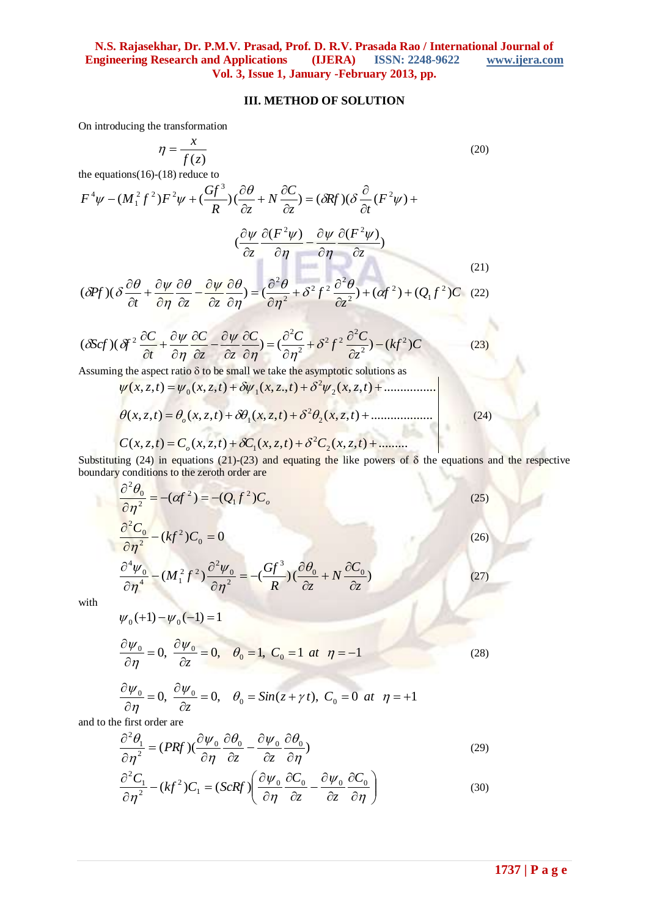#### **III. METHOD OF SOLUTION**

(20)

On introducing the transformation

$$
\eta = \frac{x}{f(z)}
$$

the equations(16)-(18) reduce to

$$
F^{4}\psi - (M_{1}^{2}f^{2})F^{2}\psi + (\frac{Gf^{3}}{R})(\frac{\partial \theta}{\partial z} + N\frac{\partial C}{\partial z}) = (\partial Rf)(\delta\frac{\partial}{\partial t}(F^{2}\psi) + (\frac{\partial \psi}{\partial z}\frac{\partial (F^{2}\psi)}{\partial \eta} - \frac{\partial \psi}{\partial \eta}\frac{\partial (F^{2}\psi)}{\partial z})
$$
\n
$$
\frac{\partial \theta}{\partial t} = \frac{\partial \psi}{\partial t} \frac{\partial (F^{2}\psi)}{\partial \eta} - \frac{\partial \psi}{\partial t} \frac{\partial (F^{2}\psi)}{\partial z}
$$
\n(21)

$$
(\delta P f)(\delta \frac{\partial \theta}{\partial t} + \frac{\partial \psi}{\partial \eta} \frac{\partial \theta}{\partial z} - \frac{\partial \psi}{\partial z} \frac{\partial \theta}{\partial \eta}) = (\frac{\partial^2 \theta}{\partial \eta^2} + \delta^2 f^2 \frac{\partial^2 \theta}{\partial z^2}) + (\alpha f^2) + (Q_1 f^2)C \quad (22)
$$

$$
(\delta \mathbf{S}cf)(\delta \mathbf{f}^2 \frac{\partial C}{\partial t} + \frac{\partial \psi}{\partial \eta} \frac{\partial C}{\partial z} - \frac{\partial \psi}{\partial z} \frac{\partial C}{\partial \eta} = \left(\frac{\partial^2 C}{\partial \eta^2} + \delta^2 f^2 \frac{\partial^2 C}{\partial z^2}\right) - (kf^2)C
$$
\n(23)

Assuming the aspect ratio  $\delta$  to be small we take the asymptotic solutions as

$$
\psi(x, z, t) = \psi_0(x, z, t) + \delta \psi_1(x, z, t) + \delta^2 \psi_2(x, z, t) + \dots
$$
  
\n
$$
\theta(x, z, t) = \theta_0(x, z, t) + \delta \theta_1(x, z, t) + \delta^2 \theta_2(x, z, t) + \dots
$$
  
\n
$$
C(x, z, t) = C_0(x, z, t) + \delta C_1(x, z, t) + \delta^2 C_2(x, z, t) + \dots
$$
\n(24)

Substituting (24) in equations (21)-(23) and equating the like powers of  $\delta$  the equations and the respective boundary conditions to the zeroth order are

$$
\frac{\partial^2 \theta_0}{\partial \eta^2} = -(\alpha f^2) = -(Q_1 f^2) C_o
$$
\n
$$
\frac{\partial^2 C_0}{\partial \eta^2} - (kf^2) C_0 = 0
$$
\n
$$
\frac{\partial^4 \psi_0}{\partial \eta^4} - (M_1^2 f^2) \frac{\partial^2 \psi_0}{\partial \eta^2} = -(Gf^3) (\frac{\partial \theta_0}{\partial z} + N \frac{\partial C_0}{\partial z})
$$
\n(27)

with

$$
\frac{\partial \psi_0}{\partial \eta} = 0, \quad \frac{\partial \psi_0}{\partial z} = 0, \quad \theta_0 = 1, \quad C_0 = 1 \quad at \quad \eta = -1 \tag{28}
$$

$$
\frac{\partial \psi_0}{\partial \eta} = 0, \quad \frac{\partial \psi_0}{\partial z} = 0, \quad \theta_0 = \sin(z + \gamma t), \quad C_0 = 0 \quad at \quad \eta = +1
$$

and to the first order are

 $\psi_0(+1) - \psi_0(-1) = 1$ 

$$
\frac{\partial^2 \theta_1}{\partial \eta^2} = (PRf)(\frac{\partial \psi_0}{\partial \eta} \frac{\partial \theta_0}{\partial z} - \frac{\partial \psi_0}{\partial z} \frac{\partial \theta_0}{\partial \eta})
$$
(29)

$$
\frac{\partial \eta^2}{\partial \eta^2} - (kf^2)C_1 = (ScRf) \left( \frac{\partial \psi_0}{\partial \eta} \frac{\partial C_0}{\partial z} - \frac{\partial \psi_0}{\partial z} \frac{\partial C_0}{\partial \eta} \right)
$$
(30)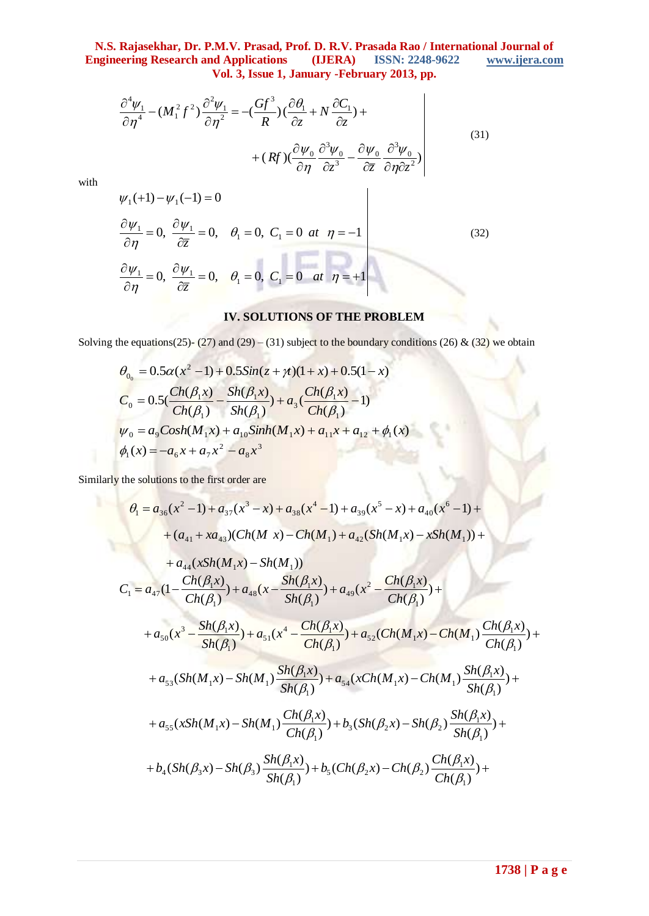$\mathbf{r}$ 

$$
\frac{\partial^4 \psi_1}{\partial \eta^4} - (M_1^2 f^2) \frac{\partial^2 \psi_1}{\partial \eta^2} = -(\frac{Gf^3}{R})(\frac{\partial \theta_1}{\partial z} + N \frac{\partial C_1}{\partial z}) + (Rf)(\frac{\partial \psi_0}{\partial \eta} \frac{\partial^3 \psi_0}{\partial z^3} - \frac{\partial \psi_0}{\partial \overline{z}} \frac{\partial^3 \psi_0}{\partial \eta \partial z^2})
$$
\n(31)

with

$$
\frac{\partial \psi_1}{\partial \eta} = 0, \quad \frac{\partial \psi_1}{\partial \overline{z}} = 0, \quad \theta_1 = 0, \quad C_1 = 0 \quad \text{at} \quad \eta = -1
$$
\n
$$
\frac{\partial \psi_1}{\partial \eta} = 0, \quad \frac{\partial \psi_1}{\partial \overline{z}} = 0, \quad \theta_1 = 0, \quad C_1 = 0 \quad \text{at} \quad \eta = +1
$$
\n(32)

# **IV. SOLUTIONS OF THE PROBLEM**

Solving the equations(25)- (27) and (29) – (31) subject to the boundary conditions (26) & (32) we obtain

$$
\theta_{0_0} = 0.5\alpha(x^2 - 1) + 0.5\sin(z + \gamma t)(1 + x) + 0.5(1 - x)
$$
  
\n
$$
C_0 = 0.5(\frac{Ch(\beta_1 x)}{Ch(\beta_1)} - \frac{Sh(\beta_1 x)}{Sh(\beta_1)}) + a_3(\frac{Ch(\beta_1 x)}{Ch(\beta_1)} - 1)
$$
  
\n
$$
\psi_0 = a_9 \cosh(M_1 x) + a_{10} \sinh(M_1 x) + a_{11} x + a_{12} + \phi_1(x)
$$
  
\n
$$
\phi_1(x) = -a_6 x + a_7 x^2 - a_8 x^3
$$

Similarly the solutions to the first order are

 $\psi_1(+1) - \psi_1(-1) = 0$ 

$$
\theta_{1} = a_{36}(x^{2}-1) + a_{37}(x^{3}-x) + a_{38}(x^{4}-1) + a_{39}(x^{5}-x) + a_{40}(x^{6}-1) +
$$
\n
$$
+ (a_{41} + xa_{43})(Ch(M x) - Ch(M_{1}) + a_{42}(Sh(M_{1}x) - xSh(M_{1})) +
$$
\n
$$
+ a_{44}(xSh(M_{1}x) - Sh(M_{1}))
$$
\n
$$
C_{1} = a_{47}(1 - \frac{Ch(\beta_{1}x)}{Ch(\beta_{1})}) + a_{48}(x - \frac{Sh(\beta_{1}x)}{Sh(\beta_{1})}) + a_{49}(x^{2} - \frac{Ch(\beta_{1}x)}{Ch(\beta_{1})}) +
$$
\n
$$
+ a_{50}(x^{3} - \frac{Sh(\beta_{1}x)}{Sh(\beta_{1})}) + a_{51}(x^{4} - \frac{Ch(\beta_{1}x)}{Ch(\beta_{1})}) + a_{52}(Ch(M_{1}x) - Ch(M_{1})\frac{Ch(\beta_{1}x)}{Ch(\beta_{1})}) +
$$
\n
$$
+ a_{53}(Sh(M_{1}x) - Sh(M_{1})\frac{Sh(\beta_{1}x)}{Sh(\beta_{1})}) + a_{54}(xCh(M_{1}x) - Ch(M_{1})\frac{Sh(\beta_{1}x)}{Sh(\beta_{1})}) +
$$
\n
$$
+ a_{55}(xSh(M_{1}x) - Sh(M_{1})\frac{Ch(\beta_{1}x)}{Ch(\beta_{1})}) + b_{3}(Sh(\beta_{2}x) - Sh(\beta_{2})\frac{Sh(\beta_{1}x)}{Sh(\beta_{1})}) +
$$
\n
$$
+ b_{4}(Sh(\beta_{3}x) - Sh(\beta_{3})\frac{Sh(\beta_{1}x)}{Sh(\beta_{1})}) + b_{5}(Ch(\beta_{2}x) - Ch(\beta_{2})\frac{Ch(\beta_{1}x)}{Ch(\beta_{1})}) +
$$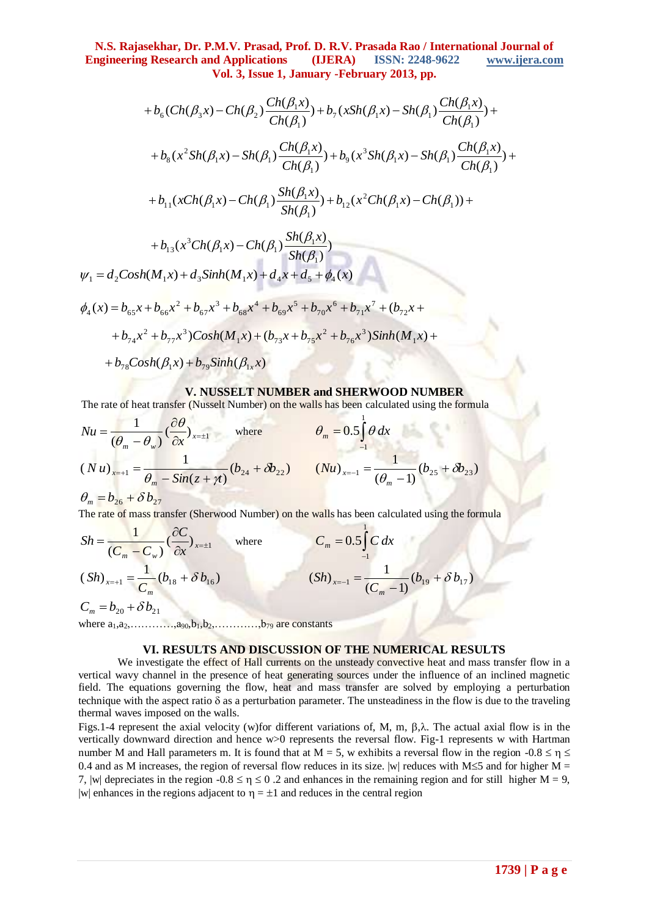$$
+b_{6}(Ch(\beta_{3}x)-Ch(\beta_{2})\frac{Ch(\beta_{1}x)}{Ch(\beta_{1})})+b_{7}(xSh(\beta_{1}x)-Sh(\beta_{1})\frac{Ch(\beta_{1}x)}{Ch(\beta_{1})})++b_{8}(x^{2}Sh(\beta_{1}x)-Sh(\beta_{1})\frac{Ch(\beta_{1}x)}{Ch(\beta_{1})})+b_{9}(x^{3}Sh(\beta_{1}x)-Sh(\beta_{1})\frac{Ch(\beta_{1}x)}{Ch(\beta_{1})})++b_{11}(xCh(\beta_{1}x)-Ch(\beta_{1})\frac{Sh(\beta_{1}x)}{Sh(\beta_{1})})+b_{12}(x^{2}Ch(\beta_{1}x)-Ch(\beta_{1}))++b_{13}(x^{3}Ch(\beta_{1}x)-Ch(\beta_{1})\frac{Sh(\beta_{1}x)}{Sh(\beta_{1})})
$$

1  $W_1 = d_2 \text{Cosh}(M_1 x) + d_3 \text{Sinh}(M_1 x) + d_4 x + d_5 + \phi_4(x)$ 

$$
\phi_4(x) = b_{65}x + b_{66}x^2 + b_{67}x^3 + b_{68}x^4 + b_{69}x^5 + b_{70}x^6 + b_{71}x^7 + (b_{72}x +
$$
  
+  $b_{74}x^2 + b_{77}x^3$ ) $Cosh(M_1x) + (b_{73}x + b_{75}x^2 + b_{76}x^3)$  $Sinh(M_1x) +$   
+  $b_{78}Cosh(\beta_1x) + b_{79}Sinh(\beta_{1x}x)$ 

#### **V. NUSSELT NUMBER and SHERWOOD NUMBER**

The rate of heat transfer (Nusselt Number) on the walls has been calculated using the formula

$$
Nu = \frac{1}{(\theta_m - \theta_w)} \left(\frac{\partial \theta}{\partial x}\right)_{x=\pm 1} \quad \text{where} \quad \theta_m = 0.5 \int_{-1}^{1} \theta \, dx
$$
  
\n
$$
(Nu)_{x=\pm 1} = \frac{1}{\theta_m - \sin(z + \pi)} (b_{24} + \delta_{22}) \qquad (Nu)_{x=-1} = \frac{1}{(\theta_m - 1)} (b_{25} + \delta_{23})
$$
  
\n
$$
\theta_m = b_{26} + \delta b_{27}
$$

The rate of mass transfer (Sherwood Number) on the walls has been calculated using the formula

$$
Sh = \frac{1}{(C_m - C_w)} \left(\frac{\partial C}{\partial x}\right)_{x=\pm 1} \quad \text{where} \quad C_m = 0.5 \int_{-1}^{1} C \, dx
$$
\n
$$
(Sh)_{x=\pm 1} = \frac{1}{C_m} (b_{18} + \delta b_{16}) \quad (Sh)_{x=-1} = \frac{1}{(C_m - 1)} (b_{19} + \delta b_{17})
$$
\n
$$
C_m = b_{20} + \delta b_{21}
$$

where  $a_1, a_2, \ldots, a_{90}, b_1, b_2, \ldots, b_{79}$  are constants

#### **VI. RESULTS AND DISCUSSION OF THE NUMERICAL RESULTS**

We investigate the effect of Hall currents on the unsteady convective heat and mass transfer flow in a vertical wavy channel in the presence of heat generating sources under the influence of an inclined magnetic field. The equations governing the flow, heat and mass transfer are solved by employing a perturbation technique with the aspect ratio  $\delta$  as a perturbation parameter. The unsteadiness in the flow is due to the traveling thermal waves imposed on the walls.

Figs.1-4 represent the axial velocity (w)for different variations of, M, m,  $\beta$ ,  $\lambda$ . The actual axial flow is in the vertically downward direction and hence w>0 represents the reversal flow. Fig-1 represents w with Hartman number M and Hall parameters m. It is found that at  $M = 5$ , w exhibits a reversal flow in the region  $-0.8 \le \eta \le$ 0.4 and as M increases, the region of reversal flow reduces in its size.  $|w|$  reduces with M $\leq$ 5 and for higher M = 7, |w| depreciates in the region  $-0.8 \le \eta \le 0.2$  and enhances in the remaining region and for still higher M = 9, |w| enhances in the regions adjacent to  $\eta = \pm 1$  and reduces in the central region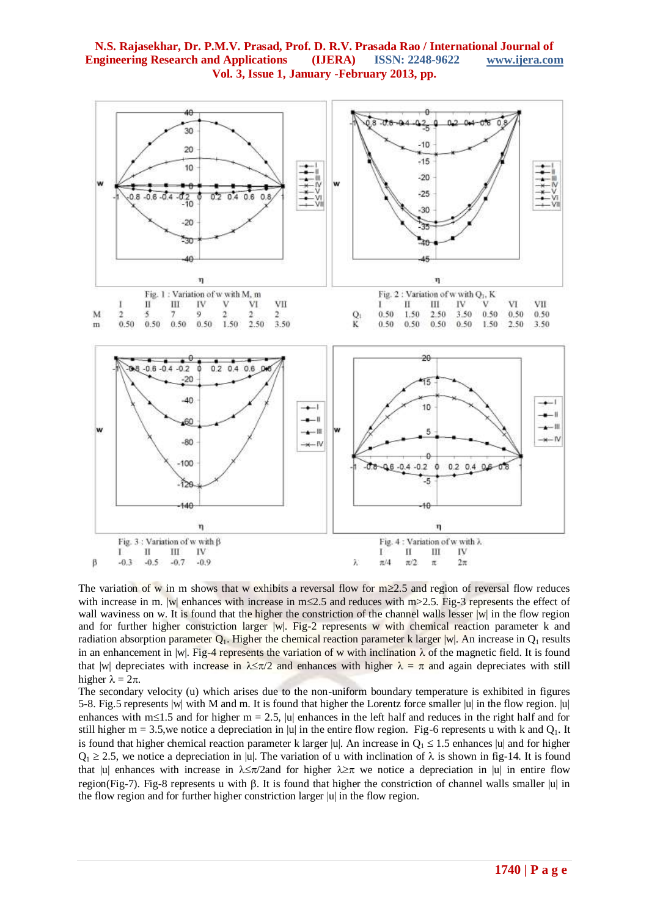

The variation of w in m shows that w exhibits a reversal flow for  $m \ge 2.5$  and region of reversal flow reduces with increase in m. |w| enhances with increase in m $\leq$ 2.5 and reduces with m>2.5. Fig-3 represents the effect of wall waviness on w. It is found that the higher the constriction of the channel walls lesser  $|w|$  in the flow region and for further higher constriction larger |w|. Fig-2 represents w with chemical reaction parameter k and radiation absorption parameter  $Q_1$ . Higher the chemical reaction parameter k larger  $|w|$ . An increase in  $Q_1$  results in an enhancement in |w|. Fig-4 represents the variation of w with inclination  $\lambda$  of the magnetic field. It is found that |w| depreciates with increase in  $\lambda \leq \pi/2$  and enhances with higher  $\lambda = \pi$  and again depreciates with still higher  $\lambda = 2\pi$ .

The secondary velocity (u) which arises due to the non-uniform boundary temperature is exhibited in figures 5-8. Fig.5 represents |w| with M and m. It is found that higher the Lorentz force smaller  $|u|$  in the flow region.  $|u|$ enhances with m
ightarrow 1.5 and for higher m = 2.5, |u| enhances in the left half and reduces in the right half and for still higher  $m = 3.5$ , we notice a depreciation in |u| in the entire flow region. Fig-6 represents u with k and  $Q_1$ . It is found that higher chemical reaction parameter k larger |u|. An increase in  $Q_1 \le 1.5$  enhances |u| and for higher  $Q_1 \ge 2.5$ , we notice a depreciation in |u|. The variation of u with inclination of  $\lambda$  is shown in fig-14. It is found that |u| enhances with increase in  $\lambda \leq \pi/2$  and for higher  $\lambda \geq \pi$  we notice a depreciation in |u| in entire flow region(Fig-7). Fig-8 represents u with  $\beta$ . It is found that higher the constriction of channel walls smaller |u| in the flow region and for further higher constriction larger |u| in the flow region.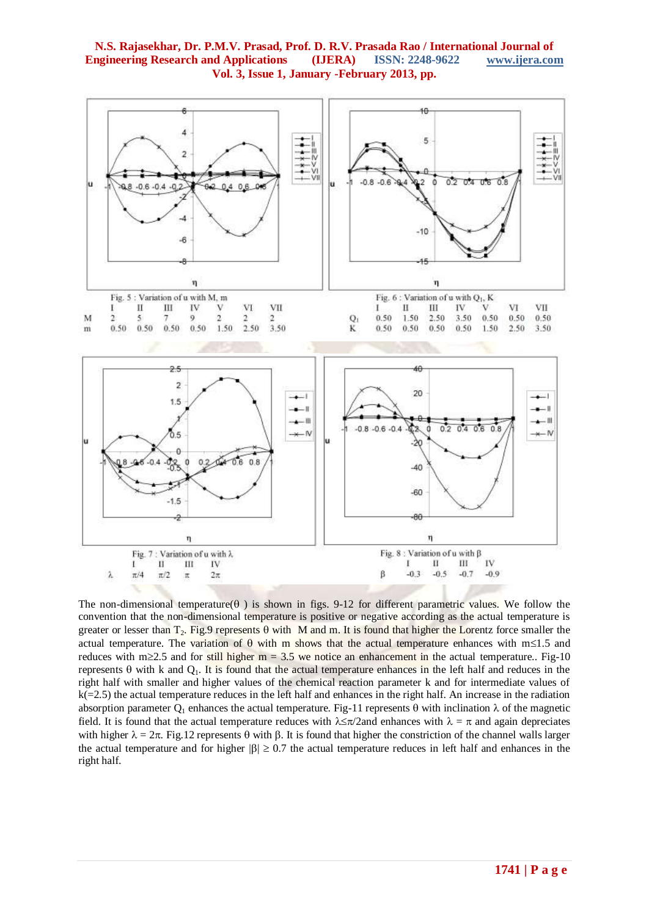

The non-dimensional temperature( $\theta$ ) is shown in figs. 9-12 for different parametric values. We follow the convention that the non-dimensional temperature is positive or negative according as the actual temperature is greater or lesser than  $T_2$ . Fig.9 represents  $\theta$  with M and m. It is found that higher the Lorentz force smaller the actual temperature. The variation of  $\theta$  with m shows that the actual temperature enhances with m $\leq 1.5$  and reduces with m2.5 and for still higher  $m = 3.5$  we notice an enhancement in the actual temperature.. Fig-10 represents  $\theta$  with k and  $Q_1$ . It is found that the actual temperature enhances in the left half and reduces in the right half with smaller and higher values of the chemical reaction parameter k and for intermediate values of  $k(=2.5)$  the actual temperature reduces in the left half and enhances in the right half. An increase in the radiation absorption parameter  $Q_1$  enhances the actual temperature. Fig-11 represents  $\theta$  with inclination  $\lambda$  of the magnetic field. It is found that the actual temperature reduces with  $\lambda \leq \pi/2$  and enhances with  $\lambda = \pi$  and again depreciates with higher  $\lambda = 2\pi$ . Fig.12 represents  $\theta$  with  $\beta$ . It is found that higher the constriction of the channel walls larger the actual temperature and for higher  $|\beta| \ge 0.7$  the actual temperature reduces in left half and enhances in the right half.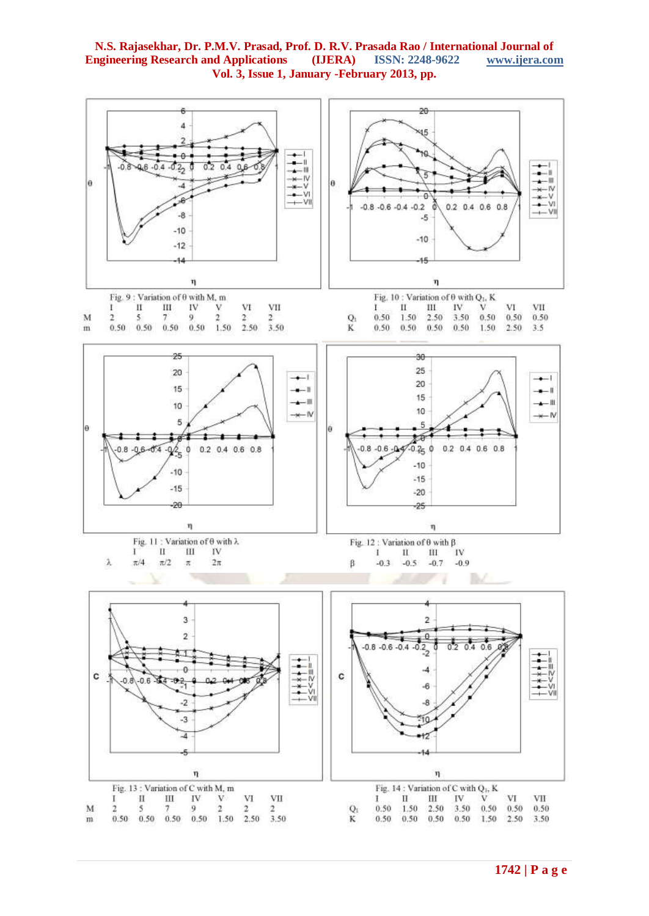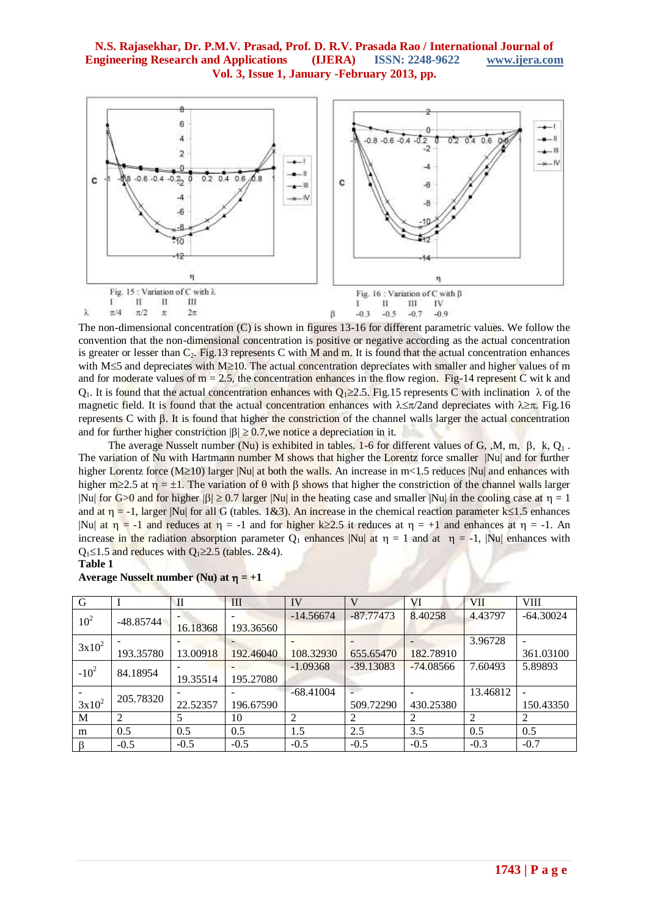

The non-dimensional concentration (C) is shown in figures 13-16 for different parametric values. We follow the convention that the non-dimensional concentration is positive or negative according as the actual concentration is greater or lesser than  $C_2$ . Fig.13 represents C with M and m. It is found that the actual concentration enhances with M $\leq$ 5 and depreciates with M $\geq$ 10. The actual concentration depreciates with smaller and higher values of m and for moderate values of  $m = 2.5$ , the concentration enhances in the flow region. Fig-14 represent C wit k and  $Q_1$ . It is found that the actual concentration enhances with  $Q_1 \geq 2.5$ . Fig.15 represents C with inclination  $\lambda$  of the magnetic field. It is found that the actual concentration enhances with  $\lambda \leq \pi/2$  and depreciates with  $\lambda \geq \pi$ . Fig.16 represents  $C$  with  $\beta$ . It is found that higher the constriction of the channel walls larger the actual concentration and for further higher constriction  $|\beta| \ge 0.7$ , we notice a depreciation in it.

The average Nusselt number (Nu) is exhibited in tables. 1-6 for different values of G, ,M, m,  $\beta$ , k, Q<sub>1</sub>. The variation of Nu with Hartmann number M shows that higher the Lorentz force smaller |Nu| and for further higher Lorentz force (M≥10) larger |Nu| at both the walls. An increase in m<1.5 reduces |Nu| and enhances with higher m $\geq 2.5$  at  $\eta = \pm 1$ . The variation of  $\theta$  with  $\beta$  shows that higher the constriction of the channel walls larger |Nu| for G>0 and for higher | $\beta$ |  $\geq$  0.7 larger |Nu| in the heating case and smaller |Nu| in the cooling case at  $\eta = 1$ and at  $\eta = -1$ , larger |Nu| for all G (tables. 1&3). An increase in the chemical reaction parameter k≤1.5 enhances |Nu| at  $\eta = -1$  and reduces at  $\eta = -1$  and for higher k \net 2.5 it reduces at  $\eta = +1$  and enhances at  $\eta = -1$ . An increase in the radiation absorption parameter  $Q_1$  enhances |Nu| at  $\eta = 1$  and at  $\eta = -1$ , |Nu| enhances with  $Q_1 \leq 1.5$  and reduces with  $Q_1 \geq 2.5$  (tables. 2&4).

# **Table 1**

| G               |             | $\mathbf{I}$ | III       | IV          | $\overline{V}$ | VI          | <b>VII</b> | <b>VIII</b> |
|-----------------|-------------|--------------|-----------|-------------|----------------|-------------|------------|-------------|
| 10 <sup>2</sup> |             |              |           | $-14.56674$ | $-87.77473$    | 8.40258     | 4.43797    | $-64.30024$ |
|                 | $-48.85744$ | 16.18368     | 193.36560 |             |                |             |            |             |
| $3x10^2$        |             |              |           |             |                |             | 3.96728    |             |
|                 | 193.35780   | 13.00918     | 192.46040 | 108.32930   | 655.65470      | 182.78910   |            | 361.03100   |
| $-10^{2}$       | 84.18954    |              |           | $-1.09368$  | $-39.13083$    | $-74.08566$ | 7.60493    | 5.89893     |
|                 |             | 19.35514     | 195.27080 |             |                |             |            |             |
|                 | 205.78320   |              |           | $-68.41004$ |                |             | 13.46812   |             |
| $3x10^2$        |             | 22.52357     | 196.67590 |             | 509.72290      | 430.25380   |            | 150.43350   |
| M               | 2           |              | 10        | 2           |                | 2           | 2          |             |
| m               | 0.5         | 0.5          | 0.5       | 1.5         | 2.5            | 3.5         | 0.5        | 0.5         |
|                 | $-0.5$      | $-0.5$       | $-0.5$    | $-0.5$      | $-0.5$         | $-0.5$      | $-0.3$     | $-0.7$      |

**Average Nusselt number (Nu) at**  $\eta = +1$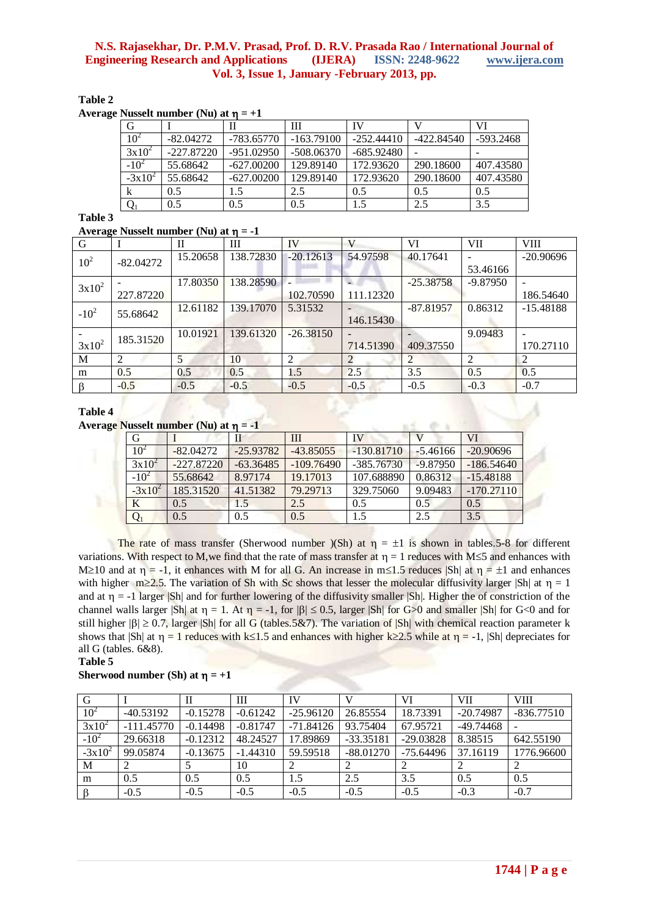# **Table 2**

**Average Nusselt number (Nu) at**  $\eta = +1$ 

| G               |              | Н            | Ш            | IV           |              | VI        |
|-----------------|--------------|--------------|--------------|--------------|--------------|-----------|
| 10 <sup>2</sup> | $-82.04272$  | $-783.65770$ | $-163.79100$ | $-252.44410$ | $-422.84540$ | -593.2468 |
| $3x10^2$        | $-227.87220$ | $-951.02950$ | $-508.06370$ | $-685.92480$ |              |           |
| $-10^2$         | 55.68642     | $-627.00200$ | 129.89140    | 172.93620    | 290.18600    | 407.43580 |
| $-3x10^2$       | 55.68642     | $-627.00200$ | 129.89140    | 172.93620    | 290.18600    | 407.43580 |
| k               | 0.5          | 1.5          | 2.5          | 0.5          | 0.5          | 0.5       |
|                 | 0.5          | 0.5          | 0.5          | 1.5          | 2.5          | 3.5       |

**Table 3**

#### **Average Nusselt number (Nu) at**  $\eta = -1$

| ືອ<br>$\overline{G}$ |                | П        | Ш         | IV          | V         | VI          | <b>VII</b> | <b>VIII</b> |
|----------------------|----------------|----------|-----------|-------------|-----------|-------------|------------|-------------|
| 10 <sup>2</sup>      | $-82.04272$    | 15.20658 | 138.72830 | $-20.12613$ | 54.97598  | 40.17641    |            | $-20.90696$ |
|                      |                |          |           |             |           |             | 53.46166   |             |
| $3x10^2$             |                | 17.80350 | 138.28590 |             |           | $-25.38758$ | $-9.87950$ |             |
|                      | 227.87220      |          |           | 102.70590   | 111.12320 |             |            | 186.54640   |
| $-10^{2}$            | 55.68642       | 12.61182 | 139.17070 | 5.31532     |           | $-87.81957$ | 0.86312    | $-15.48188$ |
|                      |                |          |           |             | 146.15430 |             |            |             |
|                      | 185.31520      | 10.01921 | 139.61320 | $-26.38150$ |           |             | 9.09483    |             |
| $3x10^2$             |                |          |           |             | 714.51390 | 409.37550   |            | 170.27110   |
| M                    | $\overline{2}$ | 5        | 10        | 2           | 2         |             | 2          |             |
| m                    | 0.5            | 0.5      | 0.5       | 1.5         | 2.5       | 3.5         | 0.5        | 0.5         |
| β                    | $-0.5$         | $-0.5$   | $-0.5$    | $-0.5$      | $-0.5$    | $-0.5$      | $-0.3$     | $-0.7$      |

#### **Table 4**

**Average Nusselt number (Nu) at**  $n = -1$ 

| G               |              | П           | Ш            | IV           |            | Vl           |
|-----------------|--------------|-------------|--------------|--------------|------------|--------------|
| 10 <sup>2</sup> | $-82.04272$  | $-25.93782$ | $-43.85055$  | $-130.81710$ | $-5.46166$ | $-20.90696$  |
| $3x10^2$        | $-227.87220$ | $-63.36485$ | $-109.76490$ | $-385.76730$ | $-9.87950$ | $-186.54640$ |
| $-102$          | 55.68642     | 8.97174     | 19.17013     | 107.688890   | 0.86312    | $-15.48188$  |
| $-3x10^2$       | 185.31520    | 41.51382    | 79.29713     | 329.75060    | 9.09483    | $-170.27110$ |
| K               | 0.5          | 1.5         | 2.5          | 0.5          | 0.5        | 0.5          |
| $\mathrm{Q}_1$  | 0.5          | 0.5         | 0.5          | 1.5          | 2.5        | 3.5          |

The rate of mass transfer (Sherwood number )(Sh) at  $\eta = \pm 1$  is shown in tables.5-8 for different variations. With respect to M, we find that the rate of mass transfer at  $\eta = 1$  reduces with M is and enhances with M210 and at  $\eta = -1$ , it enhances with M for all G. An increase in m is 1.5 reduces  $|Sh|$  at  $\eta = \pm 1$  and enhances with higher m $\geq 2.5$ . The variation of Sh with Sc shows that lesser the molecular diffusivity larger  $|Sh|$  at  $\eta = 1$ and at  $\eta = -1$  larger  $|\text{Sh}|$  and for further lowering of the diffusivity smaller  $|\text{Sh}|$ . Higher the of constriction of the channel walls larger  $|Sh|$  at  $\eta = 1$ . At  $\eta = -1$ , for  $|\beta| \le 0.5$ , larger  $|Sh|$  for G $> 0$  and smaller  $|Sh|$  for G $< 0$  and for still higher  $|\beta| \ge 0.7$ , larger  $|Sh|$  for all G (tables.5&7). The variation of  $|Sh|$  with chemical reaction parameter k shows that  $|Sh|$  at  $\eta = 1$  reduces with k≤1.5 and enhances with higher k≥2.5 while at  $\eta = -1$ ,  $|Sh|$  depreciates for all G (tables. 6&8).

**Table 5**

#### **Sherwood number (Sh) at**  $\eta = +1$

| G               |              |            | Ш          | IV          |             | VI          | <b>VII</b>  | <b>VIII</b>  |
|-----------------|--------------|------------|------------|-------------|-------------|-------------|-------------|--------------|
| 10 <sup>2</sup> | $-40.53192$  | $-0.15278$ | $-0.61242$ | $-25.96120$ | 26.85554    | 18.73391    | $-20.74987$ | $-836.77510$ |
| $3x10^2$        | $-111.45770$ | $-0.14498$ | $-0.81747$ | $-71.84126$ | 93.75404    | 67.95721    | $-49.74468$ |              |
| $-10^{2}$       | 29.66318     | $-0.12312$ | 48.24527   | 17.89869    | $-33.35181$ | $-29.03828$ | 8.38515     | 642.55190    |
| $-3x10^2$       | 99.05874     | $-0.13675$ | $-1.44310$ | 59.59518    | $-88.01270$ | $-75.64496$ | 37.16119    | 1776.96600   |
| M               |              |            | 10         |             |             |             |             | ∠            |
| m               | 0.5          | 0.5        | 0.5        | 1.5         | 2.5         | 3.5         | 0.5         | 0.5          |
|                 | $-0.5$       | $-0.5$     | $-0.5$     | $-0.5$      | $-0.5$      | $-0.5$      | $-0.3$      | $-0.7$       |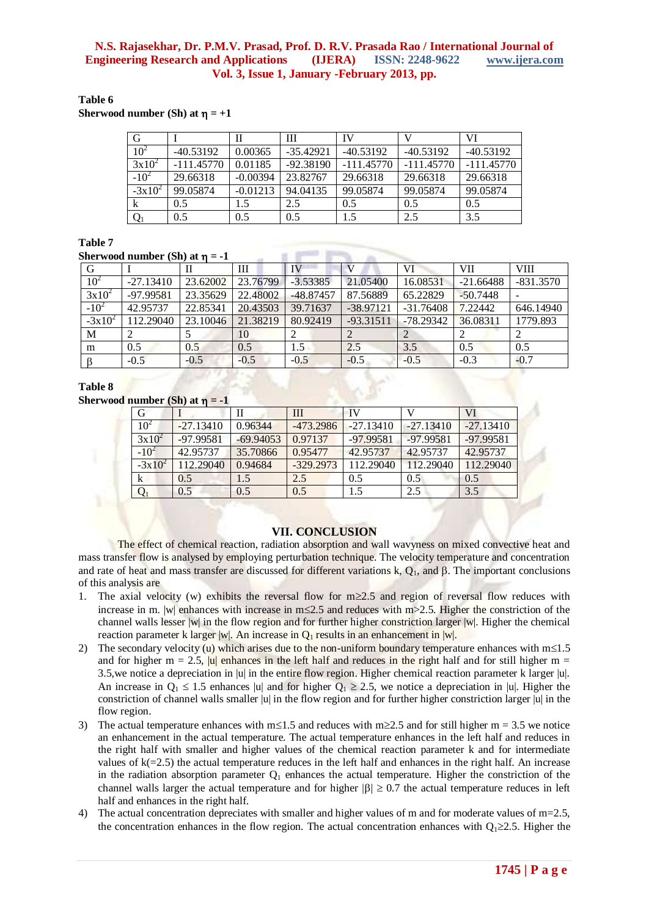**Table 6**

**Sherwood number (Sh) at**  $\eta = +1$ 

| G                  |              |            | Ш           | IV           |              | VI           |
|--------------------|--------------|------------|-------------|--------------|--------------|--------------|
| $10^{2}$           | $-40.53192$  | 0.00365    | $-35.42921$ | $-40.53192$  | $-40.53192$  | $-40.53192$  |
| $3x10^2$           | $-111.45770$ | 0.01185    | $-92.38190$ | $-111.45770$ | $-111.45770$ | $-111.45770$ |
| $\overline{-10}^2$ | 29.66318     | $-0.00394$ | 23.82767    | 29.66318     | 29.66318     | 29.66318     |
| $-3x10^2$          | 99.05874     | $-0.01213$ | 94.04135    | 99.05874     | 99.05874     | 99.05874     |
| k                  | 0.5          | 1.5        | 2.5         | 0.5          | 0.5          | 0.5          |
| Q <sub>1</sub>     | 0.5          | 0.5        | 0.5         | 1.5          | 2.5          | 3.5          |

**Table 7**

 $\frac{\text{Chorwood number (Sh)}{\text{ch}} \cdot \text{ch}}{=} 1$ 

| $\mathbf{S}$ lici wood huiliber ( $\mathbf{S}$ li) at $\mathbf{I} = \mathbf{I}$ |             |          |          |             |             |             |             |             |  |  |
|---------------------------------------------------------------------------------|-------------|----------|----------|-------------|-------------|-------------|-------------|-------------|--|--|
| G                                                                               |             |          | Ш        | IV          |             | VI          | <b>VII</b>  | <b>VIII</b> |  |  |
| $10^{2}$                                                                        | $-27.13410$ | 23.62002 | 23.76799 | $-3.53385$  | 21.05400    | 16.08531    | $-21.66488$ | $-831.3570$ |  |  |
| $3x10^2$                                                                        | $-97.99581$ | 23.35629 | 22.48002 | $-48.87457$ | 87.56889    | 65.22829    | $-50.7448$  |             |  |  |
| $-10^{2}$                                                                       | 42.95737    | 22.85341 | 20.43503 | 39.71637    | $-38.97121$ | $-31.76408$ | 7.22442     | 646.14940   |  |  |
| $-3x10^2$                                                                       | 112.29040   | 23.10046 | 21.38219 | 80.92419    | $-93.31511$ | $-78.29342$ | 36.08311    | 1779.893    |  |  |
| M                                                                               |             |          | 10       |             |             |             |             |             |  |  |
| m                                                                               | 0.5         | 0.5      | 0.5      | 1.5         | 2.5         | 3.5         | 0.5         | 0.5         |  |  |
|                                                                                 | $-0.5$      | $-0.5$   | $-0.5$   | $-0.5$      | $-0.5$      | $-0.5$      | $-0.3$      | $-0.7$      |  |  |

# **Table 8**

**Sherwood number (Sh) at**  $n = -1$ 

|           |             | Н           | Ш           | IV          |             | VI          |
|-----------|-------------|-------------|-------------|-------------|-------------|-------------|
| $10^2$    | $-27.13410$ | 0.96344     | $-473.2986$ | $-27.13410$ | $-27.13410$ | $-27.13410$ |
| $3x10^2$  | -97.99581   | $-69.94053$ | 0.97137     | $-97.99581$ | $-97.99581$ | -97.99581   |
| $-10^{2}$ | 42.95737    | 35.70866    | 0.95477     | 42.95737    | 42.95737    | 42.95737    |
| $-3x10^2$ | 112.29040   | 0.94684     | $-329.2973$ | 112.29040   | 112.29040   | 112.29040   |
| K         | 0.5         | 1.5         | 2.5         | 0.5         | 0.5         | 0.5         |
|           | 0.5         | 0.5         | 0.5         | 1.5         | 2.5         | 3.5         |

# **VII. CONCLUSION**

The effect of chemical reaction, radiation absorption and wall wavyness on mixed convective heat and mass transfer flow is analysed by employing perturbation technique. The velocity temperature and concentration and rate of heat and mass transfer are discussed for different variations k,  $Q_1$ , and  $\beta$ . The important conclusions of this analysis are

- 1. The axial velocity (w) exhibits the reversal flow for  $m \ge 2.5$  and region of reversal flow reduces with increase in m.  $|w|$  enhances with increase in m $\leq$ 2.5 and reduces with m $>$ 2.5. Higher the constriction of the channel walls lesser |w| in the flow region and for further higher constriction larger |w|. Higher the chemical reaction parameter k larger |w|. An increase in  $Q_1$  results in an enhancement in |w|.
- 2) The secondary velocity (u) which arises due to the non-uniform boundary temperature enhances with  $m\leq 1.5$ and for higher m = 2.5, |u| enhances in the left half and reduces in the right half and for still higher m = 3.5, we notice a depreciation in |u| in the entire flow region. Higher chemical reaction parameter k larger |u|. An increase in  $Q_1 \le 1.5$  enhances |u| and for higher  $Q_1 \ge 2.5$ , we notice a depreciation in |u|. Higher the constriction of channel walls smaller |u| in the flow region and for further higher constriction larger |u| in the flow region.
- 3) The actual temperature enhances with m\sum state m =  $3.5$  and for still higher m =  $3.5$  we notice an enhancement in the actual temperature. The actual temperature enhances in the left half and reduces in the right half with smaller and higher values of the chemical reaction parameter k and for intermediate values of k(=2.5) the actual temperature reduces in the left half and enhances in the right half. An increase in the radiation absorption parameter  $Q_1$  enhances the actual temperature. Higher the constriction of the channel walls larger the actual temperature and for higher  $|\beta| \ge 0.7$  the actual temperature reduces in left half and enhances in the right half.
- 4) The actual concentration depreciates with smaller and higher values of m and for moderate values of m=2.5, the concentration enhances in the flow region. The actual concentration enhances with  $Q_1 \geq 2.5$ . Higher the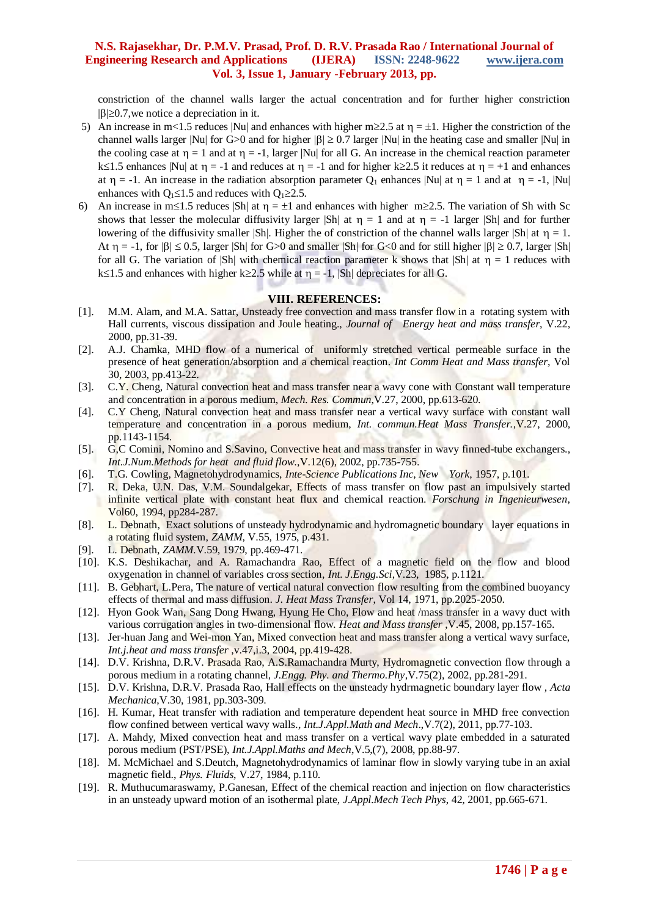constriction of the channel walls larger the actual concentration and for further higher constriction  $|\beta| \ge 0.7$ , we notice a depreciation in it.

- 5) An increase in m<1.5 reduces |Nu| and enhances with higher m $\geq$ 2.5 at  $\eta = \pm 1$ . Higher the constriction of the channel walls larger |Nu| for G>0 and for higher  $|\beta| \ge 0.7$  larger |Nu| in the heating case and smaller |Nu| in the cooling case at  $\eta = 1$  and at  $\eta = -1$ , larger |Nu| for all G. An increase in the chemical reaction parameter k l.5 enhances  $|Nu|$  at  $\eta = -1$  and reduces at  $\eta = -1$  and for higher k  $\ge 2.5$  it reduces at  $\eta = +1$  and enhances at  $\eta = -1$ . An increase in the radiation absorption parameter  $Q_1$  enhances |Nu| at  $\eta = 1$  and at  $\eta = -1$ , |Nu| enhances with  $Q_1 \leq 1.5$  and reduces with  $Q_1 \geq 2.5$ .
- 6) An increase in m \le 1.5 reduces |Sh| at  $\eta = \pm 1$  and enhances with higher m \le 2.5. The variation of Sh with Sc shows that lesser the molecular diffusivity larger  $|Sh|$  at  $\eta = 1$  and at  $\eta = -1$  larger  $|Sh|$  and for further lowering of the diffusivity smaller  $|Sh|$ . Higher the of constriction of the channel walls larger  $|Sh|$  at  $\eta = 1$ . At  $\eta = -1$ , for  $|\beta| \le 0.5$ , larger  $|Sh|$  for G $>0$  and smaller  $|Sh|$  for G $< 0$  and for still higher  $|\beta| \ge 0.7$ , larger  $|Sh|$ for all G. The variation of  $|Sh|$  with chemical reaction parameter k shows that  $|Sh|$  at  $\eta = 1$  reduces with k 
lets 1.5 and enhances with higher k 
lets 2.5 while at  $\eta = -1$ ,  $|S_h|$  depreciates for all G.

# **VIII. REFERENCES:**

- [1]. M.M. Alam, and M.A. Sattar, Unsteady free convection and mass transfer flow in a rotating system with Hall currents, viscous dissipation and Joule heating., *Journal of Energy heat and mass transfer*, V.22, 2000, pp.31-39.
- [2]. A.J. Chamka, MHD flow of a numerical of uniformly stretched vertical permeable surface in the presence of heat generation/absorption and a chemical reaction. *Int Comm Heat and Mass transfer*, Vol 30, 2003, pp.413-22.
- [3]. C.Y. Cheng, Natural convection heat and mass transfer near a wavy cone with Constant wall temperature and concentration in a porous medium, *Mech. Res. Commun*,V.27, 2000, pp.613-620.
- [4]. C.Y Cheng, Natural convection heat and mass transfer near a vertical wavy surface with constant wall temperature and concentration in a porous medium, *Int. commun.Heat Mass Transfer.*,V.27, 2000, pp.1143-1154.
- [5]. G,C Comini, Nomino and S.Savino, Convective heat and mass transfer in wavy finned-tube exchangers., *Int.J.Num.Methods for heat and fluid flow*.,V.12(6), 2002, pp.735-755.
- [6]. T.G. Cowling, Magnetohydrodynamics, *Inte-Science Publications Inc, New York*, 1957, p.101.
- [7]. R. Deka, U.N. Das, V.M. Soundalgekar, Effects of mass transfer on flow past an impulsively started infinite vertical plate with constant heat flux and chemical reaction. *Forschung in Ingenieurwesen*, Vol60, 1994, pp284-287.
- [8]. L. Debnath, Exact solutions of unsteady hydrodynamic and hydromagnetic boundary layer equations in a rotating fluid system, *ZAMM*, V.55, 1975, p.431.
- [9]. L. Debnath, *ZAMM.*V.59, 1979, pp.469-471.
- [10]. K.S. Deshikachar, and A. Ramachandra Rao, Effect of a magnetic field on the flow and blood oxygenation in channel of variables cross section, *Int. J.Engg.Sci*,V.23, 1985, p.1121.
- [11]. B. Gebhart, L.Pera, The nature of vertical natural convection flow resulting from the combined buoyancy effects of thermal and mass diffusion. *J. Heat Mass Transfer*, Vol 14, 1971, pp.2025-2050.
- [12]. Hyon Gook Wan, Sang Dong Hwang, Hyung He Cho, Flow and heat /mass transfer in a wavy duct with various corrugation angles in two-dimensional flow*. Heat and Mass transfer* ,V.45, 2008, pp.157-165.
- [13]. Jer-huan Jang and Wei-mon Yan, Mixed convection heat and mass transfer along a vertical wavy surface, *Int.j.heat and mass transfer* ,v.47,i.3, 2004, pp.419-428.
- [14]. D.V. Krishna, D.R.V. Prasada Rao, A.S.Ramachandra Murty, Hydromagnetic convection flow through a porous medium in a rotating channel, *J.Engg. Phy. and Thermo.Phy*,V.75(2), 2002, pp.281-291.
- [15]. D.V. Krishna, D.R.V. Prasada Rao, Hall effects on the unsteady hydrmagnetic boundary layer flow , *Acta Mechanica*,V.30, 1981, pp.303-309.
- [16]. H. Kumar, Heat transfer with radiation and temperature dependent heat source in MHD free convection flow confined between vertical wavy walls*., Int.J.Appl.Math and Mech*.,V.7(2), 2011, pp.77-103.
- [17]. A. Mahdy, Mixed convection heat and mass transfer on a vertical wavy plate embedded in a saturated porous medium (PST/PSE), *Int.J.Appl.Maths and Mech*,V.5,(7), 2008, pp.88-97.
- [18]. M. McMichael and S.Deutch, Magnetohydrodynamics of laminar flow in slowly varying tube in an axial magnetic field., *Phys. Fluids*, V.27, 1984, p.110.
- [19]. R. Muthucumaraswamy, P.Ganesan, Effect of the chemical reaction and injection on flow characteristics in an unsteady upward motion of an isothermal plate, *J.Appl.Mech Tech Phys*, 42, 2001, pp.665-671.